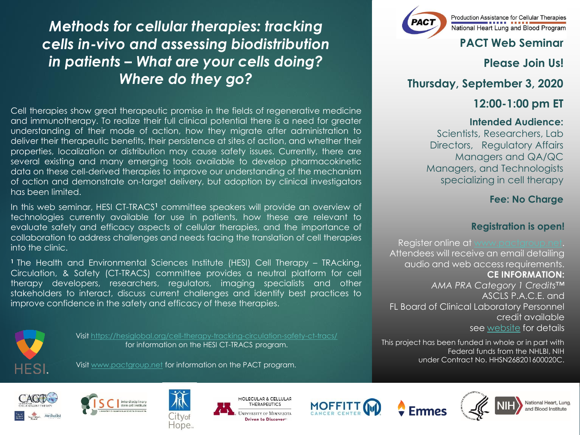*Methods for cellular therapies: tracking cells in-vivo and assessing biodistribution in patients – What are your cells doing? Where do they go?*

Cell therapies show great therapeutic promise in the fields of regenerative medicine and immunotherapy. To realize their full clinical potential there is a need for greater understanding of their mode of action, how they migrate after administration to deliver their therapeutic benefits, their persistence at sites of action, and whether their properties, localization or distribution may cause safety issues. Currently, there are several existing and many emerging tools available to develop pharmacokinetic data on these cell-derived therapies to improve our understanding of the mechanism of action and demonstrate on-target delivery, but adoption by clinical investigators has been limited.

In this web seminar, HESI CT-TRACS**<sup>1</sup>** committee speakers will provide an overview of technologies currently available for use in patients, how these are relevant to evaluate safety and efficacy aspects of cellular therapies, and the importance of collaboration to address challenges and needs facing the translation of cell therapies into the clinic.

**<sup>1</sup>** The Health and Environmental Sciences Institute (HESI) Cell Therapy – TRAcking, Circulation, & Safety (CT-TRACS) committee provides a neutral platform for cell therapy developers, researchers, regulators, imaging specialists and other stakeholders to interact, discuss current challenges and identify best practices to improve confidence in the safety and efficacy of these therapies.

Visit [www.pactgroup.net](http://www.pactgroup.net/) for information on the PACT program.



Visit <https://hesiglobal.org/cell-therapy-tracking-circulation-safety-ct-tracs/> for information on the HESI CT-TRACS program.



Production Assistance for Cellular Therapies National Heart Lung and Blood Program

## **PACT Web Seminar**

**Please Join Us!**

**Thursday, September 3, 2020**

## **12:00-1:00 pm ET**

#### **Intended Audience:**

Scientists, Researchers, Lab Directors, Regulatory Affairs Managers and QA/QC Managers, and Technologists specializing in cell therapy

## **Fee: No Charge**

### **Registration is open!**

Register online at [www.pactgroup.net.](http://www.pactgroup.net/) Attendees will receive an email detailing audio and web access requirements. **CE INFORMATION:**  *AMA PRA Category 1 Credits™*  ASCLS P.A.C.E. and FL Board of Clinical Laboratory Personnel credit available see [website](https://pactgroup.net/system/files/PACT_17JUL2020_AccreditationCoverSheet.pdf) for details

This project has been funded in whole or in part with Federal funds from the NHLBI, NIH under Contract No. HHSN268201600020C.